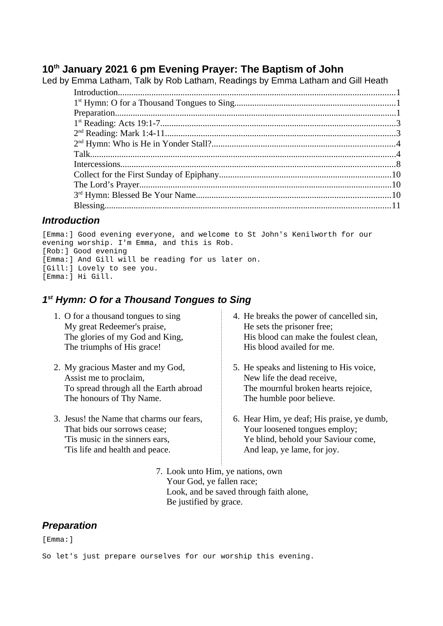### **10th January 2021 6 pm Evening Prayer: The Baptism of John** Led by Emma Latham, Talk by Rob Latham, Readings by Emma Latham and Gill Heath

| vy Linnia Latilani, Taik vy INVV Latilani, Neadlilys vy Linnia Latilani aliu Olii Heatri |  |  |
|------------------------------------------------------------------------------------------|--|--|
|                                                                                          |  |  |
|                                                                                          |  |  |
|                                                                                          |  |  |
|                                                                                          |  |  |
|                                                                                          |  |  |
|                                                                                          |  |  |
|                                                                                          |  |  |
|                                                                                          |  |  |
|                                                                                          |  |  |
|                                                                                          |  |  |
|                                                                                          |  |  |
|                                                                                          |  |  |
|                                                                                          |  |  |

## <span id="page-0-2"></span>*Introduction*

[Emma:] Good evening everyone, and welcome to St John's Kenilworth for our evening worship. I'm Emma, and this is Rob. [Rob:] Good evening [Emma:] And Gill will be reading for us later on. [Gill:] Lovely to see you. [Emma:] Hi Gill.

# <span id="page-0-0"></span>*1 st Hymn: O for a Thousand Tongues to Sing*

- 1. O for a thousand tongues to sing My great Redeemer's praise, The glories of my God and King, The triumphs of His grace!
- 2. My gracious Master and my God, Assist me to proclaim, To spread through all the Earth abroad The honours of Thy Name.
- 3. Jesus! the Name that charms our fears, That bids our sorrows cease; 'Tis music in the sinners ears, 'Tis life and health and peace.
- 4. He breaks the power of cancelled sin, He sets the prisoner free; His blood can make the foulest clean, His blood availed for me.
- 5. He speaks and listening to His voice, New life the dead receive, The mournful broken hearts rejoice, The humble poor believe.
- 6. Hear Him, ye deaf; His praise, ye dumb, Your loosened tongues employ; Ye blind, behold your Saviour come, And leap, ye lame, for joy.
- 7. Look unto Him, ye nations, own Your God, ye fallen race; Look, and be saved through faith alone, Be justified by grace.

# <span id="page-0-1"></span>*Preparation*

[Emma:]

So let's just prepare ourselves for our worship this evening.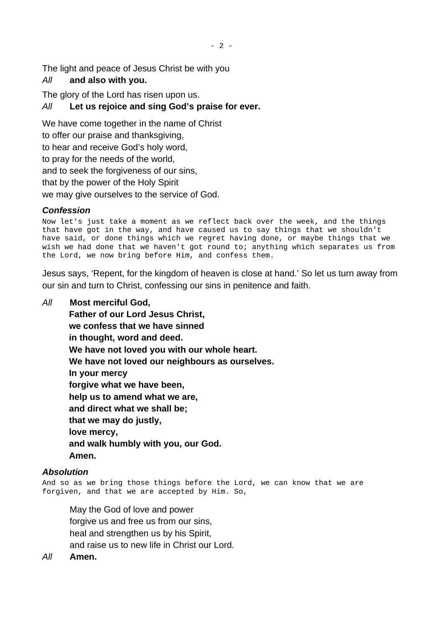The light and peace of Jesus Christ be with you

# *All* **and also with you.**

The glory of the Lord has risen upon us.

## *All* **Let us rejoice and sing God's praise for ever.**

We have come together in the name of Christ to offer our praise and thanksgiving, to hear and receive God's holy word, to pray for the needs of the world, and to seek the forgiveness of our sins, that by the power of the Holy Spirit we may give ourselves to the service of God.

## *Confession*

Now let's just take a moment as we reflect back over the week, and the things that have got in the way, and have caused us to say things that we shouldn't have said, or done things which we regret having done, or maybe things that we wish we had done that we haven't got round to; anything which separates us from the Lord, we now bring before Him, and confess them.

Jesus says, 'Repent, for the kingdom of heaven is close at hand.' So let us turn away from our sin and turn to Christ, confessing our sins in penitence and faith.

*All* **Most merciful God, Father of our Lord Jesus Christ, we confess that we have sinned in thought, word and deed. We have not loved you with our whole heart. We have not loved our neighbours as ourselves. In your mercy forgive what we have been, help us to amend what we are, and direct what we shall be; that we may do justly, love mercy, and walk humbly with you, our God. Amen.**

## *Absolution*

And so as we bring those things before the Lord, we can know that we are forgiven, and that we are accepted by Him. So,

May the God of love and power forgive us and free us from our sins, heal and strengthen us by his Spirit, and raise us to new life in Christ our Lord.

*All* **Amen.**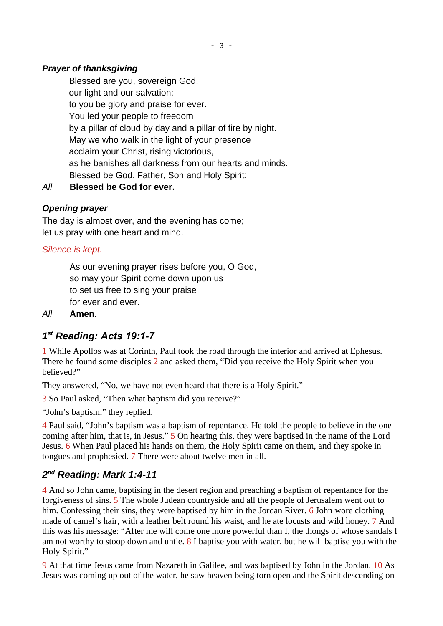## *Prayer of thanksgiving*

Blessed are you, sovereign God, our light and our salvation; to you be glory and praise for ever. You led your people to freedom by a pillar of cloud by day and a pillar of fire by night. May we who walk in the light of your presence acclaim your Christ, rising victorious, as he banishes all darkness from our hearts and minds. Blessed be God, Father, Son and Holy Spirit:

*All* **Blessed be God for ever.**

## *Opening prayer*

The day is almost over, and the evening has come; let us pray with one heart and mind.

## *Silence is kept.*

As our evening prayer rises before you, O God, so may your Spirit come down upon us to set us free to sing your praise for ever and ever.

*All* **Amen***.*

# <span id="page-2-1"></span>*1 st Reading: Acts 19:1-7*

1 While Apollos was at Corinth, Paul took the road through the interior and arrived at Ephesus. There he found some disciples 2 and asked them, "Did you receive the Holy Spirit when you believed?"

They answered, "No, we have not even heard that there is a Holy Spirit."

3 So Paul asked, "Then what baptism did you receive?"

"John's baptism," they replied.

4 Paul said, "John's baptism was a baptism of repentance. He told the people to believe in the one coming after him, that is, in Jesus." 5 On hearing this, they were baptised in the name of the Lord Jesus. 6 When Paul placed his hands on them, the Holy Spirit came on them, and they spoke in tongues and prophesied. 7 There were about twelve men in all.

# <span id="page-2-0"></span>*2 nd Reading: Mark 1:4-11*

4 And so John came, baptising in the desert region and preaching a baptism of repentance for the forgiveness of sins. 5 The whole Judean countryside and all the people of Jerusalem went out to him. Confessing their sins, they were baptised by him in the Jordan River. 6 John wore clothing made of camel's hair, with a leather belt round his waist, and he ate locusts and wild honey. 7 And this was his message: "After me will come one more powerful than I, the thongs of whose sandals I am not worthy to stoop down and untie.  $8$  I baptise you with water, but he will baptise you with the Holy Spirit."

9 At that time Jesus came from Nazareth in Galilee, and was baptised by John in the Jordan. 10 As Jesus was coming up out of the water, he saw heaven being torn open and the Spirit descending on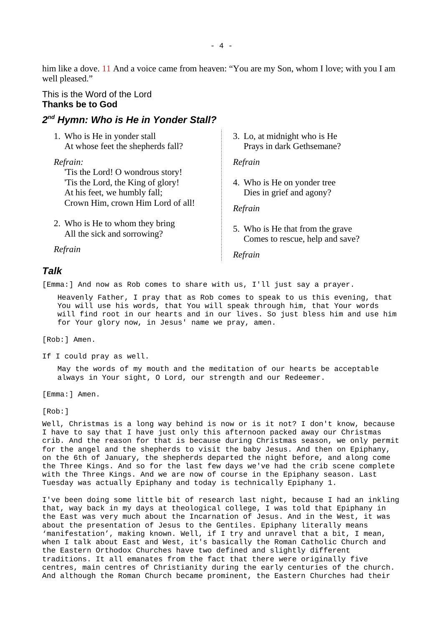him like a dove. 11 And a voice came from heaven: "You are my Son, whom I love; with you I am well pleased."

### This is the Word of the Lord **Thanks be to God**

## <span id="page-3-1"></span>*2 nd Hymn: Who is He in Yonder Stall?*

1. Who is He in yonder stall At whose feet the shepherds fall?

*Refrain:* 'Tis the Lord! O wondrous story! 'Tis the Lord, the King of glory! At his feet, we humbly fall; Crown Him, crown Him Lord of all!

2. Who is He to whom they bring All the sick and sorrowing?

*Refrain*

## 3. Lo, at midnight who is He Prays in dark Gethsemane?

*Refrain*

4. Who is He on yonder tree Dies in grief and agony?

*Refrain*

5. Who is He that from the grave Comes to rescue, help and save?

*Refrain*

### <span id="page-3-0"></span>*Talk*

[Emma:] And now as Rob comes to share with us, I'll just say a prayer.

Heavenly Father, I pray that as Rob comes to speak to us this evening, that You will use his words, that You will speak through him, that Your words will find root in our hearts and in our lives. So just bless him and use him for Your glory now, in Jesus' name we pray, amen.

[Rob:] Amen.

If I could pray as well.

May the words of my mouth and the meditation of our hearts be acceptable always in Your sight, O Lord, our strength and our Redeemer.

[Emma:] Amen.

[Rob:]

Well, Christmas is a long way behind is now or is it not? I don't know, because I have to say that I have just only this afternoon packed away our Christmas crib. And the reason for that is because during Christmas season, we only permit for the angel and the shepherds to visit the baby Jesus. And then on Epiphany, on the 6th of January, the shepherds departed the night before, and along come the Three Kings. And so for the last few days we've had the crib scene complete with the Three Kings. And we are now of course in the Epiphany season. Last Tuesday was actually Epiphany and today is technically Epiphany 1.

I've been doing some little bit of research last night, because I had an inkling that, way back in my days at theological college, I was told that Epiphany in the East was very much about the Incarnation of Jesus. And in the West, it was about the presentation of Jesus to the Gentiles. Epiphany literally means 'manifestation', making known. Well, if I try and unravel that a bit, I mean, when I talk about East and West, it's basically the Roman Catholic Church and the Eastern Orthodox Churches have two defined and slightly different traditions. It all emanates from the fact that there were originally five centres, main centres of Christianity during the early centuries of the church. And although the Roman Church became prominent, the Eastern Churches had their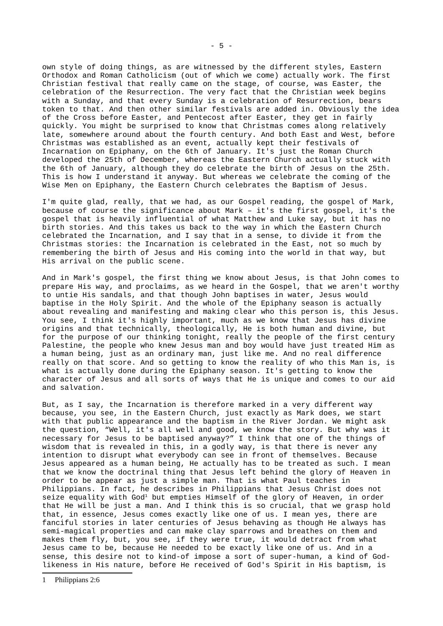own style of doing things, as are witnessed by the different styles, Eastern Orthodox and Roman Catholicism (out of which we come) actually work. The first Christian festival that really came on the stage, of course, was Easter, the celebration of the Resurrection. The very fact that the Christian week begins with a Sunday, and that every Sunday is a celebration of Resurrection, bears token to that. And then other similar festivals are added in. Obviously the idea of the Cross before Easter, and Pentecost after Easter, they get in fairly quickly. You might be surprised to know that Christmas comes along relatively late, somewhere around about the fourth century. And both East and West, before Christmas was established as an event, actually kept their festivals of Incarnation on Epiphany, on the 6th of January. It's just the Roman Church developed the 25th of December, whereas the Eastern Church actually stuck with the 6th of January, although they do celebrate the birth of Jesus on the 25th. This is how I understand it anyway. But whereas we celebrate the coming of the Wise Men on Epiphany, the Eastern Church celebrates the Baptism of Jesus.

I'm quite glad, really, that we had, as our Gospel reading, the gospel of Mark, because of course the significance about Mark – it's the first gospel, it's the gospel that is heavily influential of what Matthew and Luke say, but it has no birth stories. And this takes us back to the way in which the Eastern Church celebrated the Incarnation, and I say that in a sense, to divide it from the Christmas stories: the Incarnation is celebrated in the East, not so much by remembering the birth of Jesus and His coming into the world in that way, but His arrival on the public scene.

And in Mark's gospel, the first thing we know about Jesus, is that John comes to prepare His way, and proclaims, as we heard in the Gospel, that we aren't worthy to untie His sandals, and that though John baptises in water, Jesus would baptise in the Holy Spirit. And the whole of the Epiphany season is actually about revealing and manifesting and making clear who this person is, this Jesus. You see, I think it's highly important, much as we know that Jesus has divine origins and that technically, theologically, He is both human and divine, but for the purpose of our thinking tonight, really the people of the first century Palestine, the people who knew Jesus man and boy would have just treated Him as a human being, just as an ordinary man, just like me. And no real difference really on that score. And so getting to know the reality of who this Man is, is what is actually done during the Epiphany season. It's getting to know the character of Jesus and all sorts of ways that He is unique and comes to our aid and salvation.

<span id="page-4-0"></span>But, as I say, the Incarnation is therefore marked in a very different way because, you see, in the Eastern Church, just exactly as Mark does, we start with that public appearance and the baptism in the River Jordan. We might ask the question, "Well, it's all well and good, we know the story. But why was it necessary for Jesus to be baptised anyway?" I think that one of the things of wisdom that is revealed in this, in a godly way, is that there is never any intention to disrupt what everybody can see in front of themselves. Because Jesus appeared as a human being, He actually has to be treated as such. I mean that we know the doctrinal thing that Jesus left behind the glory of Heaven in order to be appear as just a simple man. That is what Paul teaches in Philippians. In fact, he describes in Philippians that Jesus Christ does not seize equality with God<sup>[1](#page-4-0)</sup> but empties Himself of the glory of Heaven, in order that He will be just a man. And I think this is so crucial, that we grasp hold that, in essence, Jesus comes exactly like one of us. I mean yes, there are fanciful stories in later centuries of Jesus behaving as though He always has semi-magical properties and can make clay sparrows and breathes on them and makes them fly, but, you see, if they were true, it would detract from what Jesus came to be, because He needed to be exactly like one of us. And in a sense, this desire not to kind-of impose a sort of super-human, a kind of Godlikeness in His nature, before He received of God's Spirit in His baptism, is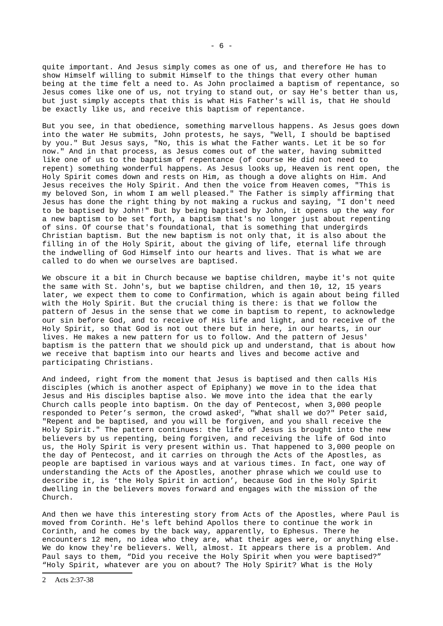quite important. And Jesus simply comes as one of us, and therefore He has to show Himself willing to submit Himself to the things that every other human being at the time felt a need to. As John proclaimed a baptism of repentance, so Jesus comes like one of us, not trying to stand out, or say He's better than us, but just simply accepts that this is what His Father's will is, that He should be exactly like us, and receive this baptism of repentance.

But you see, in that obedience, something marvellous happens. As Jesus goes down into the water He submits, John protests, he says, "Well, I should be baptised by you." But Jesus says, "No, this is what the Father wants. Let it be so for now." And in that process, as Jesus comes out of the water, having submitted like one of us to the baptism of repentance (of course He did not need to repent) something wonderful happens. As Jesus looks up, Heaven is rent open, the Holy Spirit comes down and rests on Him, as though a dove alights on Him. And Jesus receives the Holy Spirit. And then the voice from Heaven comes, "This is my beloved Son, in whom I am well pleased." The Father is simply affirming that Jesus has done the right thing by not making a ruckus and saying, "I don't need to be baptised by John!" But by being baptised by John, it opens up the way for a new baptism to be set forth, a baptism that's no longer just about repenting of sins. Of course that's foundational, that is something that undergirds Christian baptism. But the new baptism is not only that, it is also about the filling in of the Holy Spirit, about the giving of life, eternal life through the indwelling of God Himself into our hearts and lives. That is what we are called to do when we ourselves are baptised.

We obscure it a bit in Church because we baptise children, maybe it's not quite the same with St. John's, but we baptise children, and then 10, 12, 15 years later, we expect them to come to Confirmation, which is again about being filled with the Holy Spirit. But the crucial thing is there: is that we follow the pattern of Jesus in the sense that we come in baptism to repent, to acknowledge our sin before God, and to receive of His life and light, and to receive of the Holy Spirit, so that God is not out there but in here, in our hearts, in our lives. He makes a new pattern for us to follow. And the pattern of Jesus' baptism is the pattern that we should pick up and understand, that is about how we receive that baptism into our hearts and lives and become active and participating Christians.

And indeed, right from the moment that Jesus is baptised and then calls His disciples (which is another aspect of Epiphany) we move in to the idea that Jesus and His disciples baptise also. We move into the idea that the early Church calls people into baptism. On the day of Pentecost, when 3,000 people responded to Peter's sermon, the crowd asked<sup>[2](#page-5-0)</sup>, "What shall we do?" Peter said, "Repent and be baptised, and you will be forgiven, and you shall receive the Holy Spirit." The pattern continues: the life of Jesus is brought into the new believers by us repenting, being forgiven, and receiving the life of God into us, the Holy Spirit is very present within us. That happened to 3,000 people on the day of Pentecost, and it carries on through the Acts of the Apostles, as people are baptised in various ways and at various times. In fact, one way of understanding the Acts of the Apostles, another phrase which we could use to describe it, is 'the Holy Spirit in action', because God in the Holy Spirit dwelling in the believers moves forward and engages with the mission of the Church.

And then we have this interesting story from Acts of the Apostles, where Paul is moved from Corinth. He's left behind Apollos there to continue the work in Corinth, and he comes by the back way, apparently, to Ephesus. There he encounters 12 men, no idea who they are, what their ages were, or anything else. We do know they're believers. Well, almost. It appears there is a problem. And Paul says to them, "Did you receive the Holy Spirit when you were baptised?" "Holy Spirit, whatever are you on about? The Holy Spirit? What is the Holy

<span id="page-5-0"></span>2 Acts 2:37-38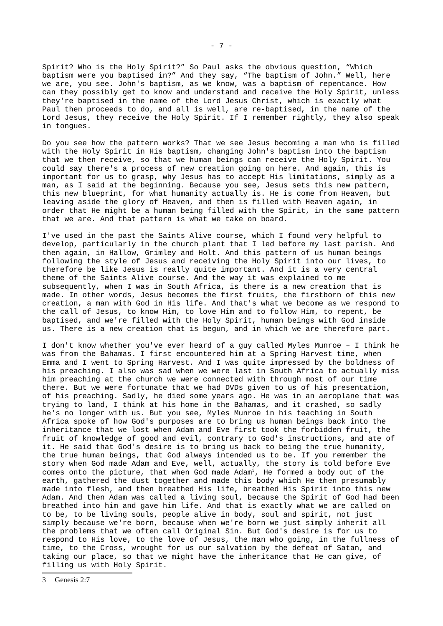Spirit? Who is the Holy Spirit?" So Paul asks the obvious question, "Which baptism were you baptised in?" And they say, "The baptism of John." Well, here we are, you see. John's baptism, as we know, was a baptism of repentance. How can they possibly get to know and understand and receive the Holy Spirit, unless they're baptised in the name of the Lord Jesus Christ, which is exactly what Paul then proceeds to do, and all is well, are re-baptised, in the name of the Lord Jesus, they receive the Holy Spirit. If I remember rightly, they also speak in tongues.

Do you see how the pattern works? That we see Jesus becoming a man who is filled with the Holy Spirit in His baptism, changing John's baptism into the baptism that we then receive, so that we human beings can receive the Holy Spirit. You could say there's a process of new creation going on here. And again, this is important for us to grasp, why Jesus has to accept His limitations, simply as a man, as I said at the beginning. Because you see, Jesus sets this new pattern, this new blueprint, for what humanity actually is. He is come from Heaven, but leaving aside the glory of Heaven, and then is filled with Heaven again, in order that He might be a human being filled with the Spirit, in the same pattern that we are. And that pattern is what we take on board.

I've used in the past the Saints Alive course, which I found very helpful to develop, particularly in the church plant that I led before my last parish. And then again, in Hallow, Grimley and Holt. And this pattern of us human beings following the style of Jesus and receiving the Holy Spirit into our lives, to therefore be like Jesus is really quite important. And it is a very central theme of the Saints Alive course. And the way it was explained to me subsequently, when I was in South Africa, is there is a new creation that is made. In other words, Jesus becomes the first fruits, the firstborn of this new creation, a man with God in His life. And that's what we become as we respond to the call of Jesus, to know Him, to love Him and to follow Him, to repent, be baptised, and we're filled with the Holy Spirit, human beings with God inside us. There is a new creation that is begun, and in which we are therefore part.

<span id="page-6-0"></span>I don't know whether you've ever heard of a guy called Myles Munroe – I think he was from the Bahamas. I first encountered him at a Spring Harvest time, when Emma and I went to Spring Harvest. And I was quite impressed by the boldness of his preaching. I also was sad when we were last in South Africa to actually miss him preaching at the church we were connected with through most of our time there. But we were fortunate that we had DVDs given to us of his presentation, of his preaching. Sadly, he died some years ago. He was in an aeroplane that was trying to land, I think at his home in the Bahamas, and it crashed, so sadly he's no longer with us. But you see, Myles Munroe in his teaching in South Africa spoke of how God's purposes are to bring us human beings back into the inheritance that we lost when Adam and Eve first took the forbidden fruit, the fruit of knowledge of good and evil, contrary to God's instructions, and ate of it. He said that God's desire is to bring us back to being the true humanity, the true human beings, that God always intended us to be. If you remember the story when God made Adam and Eve, well, actually, the story is told before Eve comes onto the picture, that when God made Adam $^3$  $^3$ , He formed a body out of the earth, gathered the dust together and made this body which He then presumably made into flesh, and then breathed His life, breathed His Spirit into this new Adam. And then Adam was called a living soul, because the Spirit of God had been breathed into him and gave him life. And that is exactly what we are called on to be, to be living souls, people alive in body, soul and spirit, not just simply because we're born, because when we're born we just simply inherit all the problems that we often call Original Sin. But God's desire is for us to respond to His love, to the love of Jesus, the man who going, in the fullness of time, to the Cross, wrought for us our salvation by the defeat of Satan, and taking our place, so that we might have the inheritance that He can give, of filling us with Holy Spirit.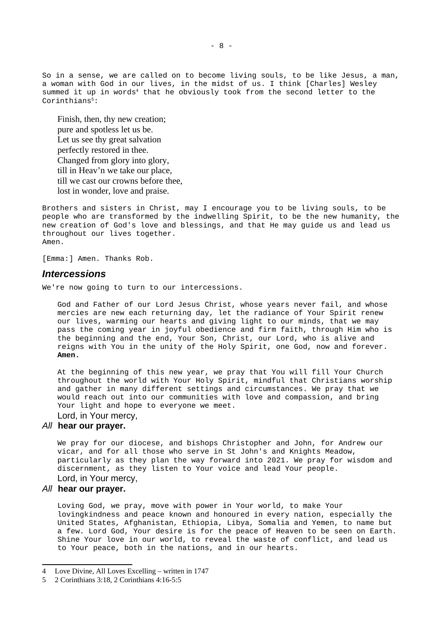So in a sense, we are called on to become living souls, to be like Jesus, a man, a woman with God in our lives, in the midst of us. I think [Charles] Wesley summed it up in words<sup>[4](#page-7-1)</sup> that he obviously took from the second letter to the Corinthians<sup>[5](#page-7-2)</sup>:

Finish, then, thy new creation; pure and spotless let us be. Let us see thy great salvation perfectly restored in thee. Changed from glory into glory, till in Heav'n we take our place, till we cast our crowns before thee, lost in wonder, love and praise.

Brothers and sisters in Christ, may I encourage you to be living souls, to be people who are transformed by the indwelling Spirit, to be the new humanity, the new creation of God's love and blessings, and that He may guide us and lead us throughout our lives together. Amen.

[Emma:] Amen. Thanks Rob.

#### <span id="page-7-0"></span>*Intercessions*

We're now going to turn to our intercessions.

God and Father of our Lord Jesus Christ, whose years never fail, and whose mercies are new each returning day, let the radiance of Your Spirit renew our lives, warming our hearts and giving light to our minds, that we may pass the coming year in joyful obedience and firm faith, through Him who is the beginning and the end, Your Son, Christ, our Lord, who is alive and reigns with You in the unity of the Holy Spirit, one God, now and forever. **Amen.**

At the beginning of this new year, we pray that You will fill Your Church throughout the world with Your Holy Spirit, mindful that Christians worship and gather in many different settings and circumstances. We pray that we would reach out into our communities with love and compassion, and bring Your light and hope to everyone we meet. Lord, in Your mercy,

### *All* **hear our prayer.**

We pray for our diocese, and bishops Christopher and John, for Andrew our vicar, and for all those who serve in St John's and Knights Meadow, particularly as they plan the way forward into 2021. We pray for wisdom and discernment, as they listen to Your voice and lead Your people. Lord, in Your mercy,

#### *All* **hear our prayer.**

Loving God, we pray, move with power in Your world, to make Your lovingkindness and peace known and honoured in every nation, especially the United States, Afghanistan, Ethiopia, Libya, Somalia and Yemen, to name but a few. Lord God, Your desire is for the peace of Heaven to be seen on Earth. Shine Your love in our world, to reveal the waste of conflict, and lead us to Your peace, both in the nations, and in our hearts.

<span id="page-7-1"></span><sup>4</sup> Love Divine, All Loves Excelling – written in 1747

<span id="page-7-2"></span><sup>5</sup> 2 Corinthians 3:18, 2 Corinthians 4:16-5:5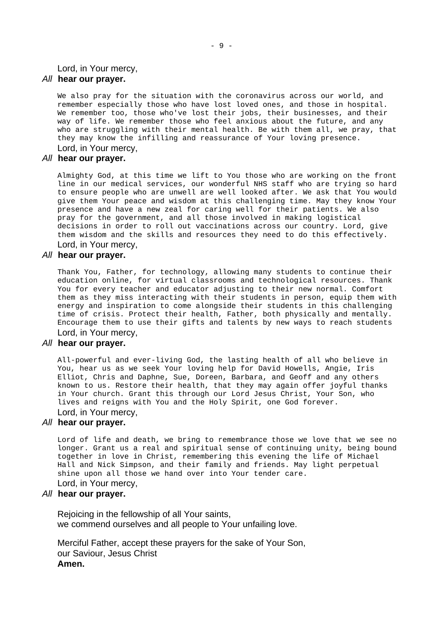Lord, in Your mercy,

#### *All* **hear our prayer.**

We also pray for the situation with the coronavirus across our world, and remember especially those who have lost loved ones, and those in hospital. We remember too, those who've lost their jobs, their businesses, and their way of life. We remember those who feel anxious about the future, and any who are struggling with their mental health. Be with them all, we pray, that they may know the infilling and reassurance of Your loving presence. Lord, in Your mercy,

#### *All* **hear our prayer.**

Almighty God, at this time we lift to You those who are working on the front line in our medical services, our wonderful NHS staff who are trying so hard to ensure people who are unwell are well looked after. We ask that You would give them Your peace and wisdom at this challenging time. May they know Your presence and have a new zeal for caring well for their patients. We also pray for the government, and all those involved in making logistical decisions in order to roll out vaccinations across our country. Lord, give them wisdom and the skills and resources they need to do this effectively. Lord, in Your mercy,

#### *All* **hear our prayer.**

Thank You, Father, for technology, allowing many students to continue their education online, for virtual classrooms and technological resources. Thank You for every teacher and educator adjusting to their new normal. Comfort them as they miss interacting with their students in person, equip them with energy and inspiration to come alongside their students in this challenging time of crisis. Protect their health, Father, both physically and mentally. Encourage them to use their gifts and talents by new ways to reach students Lord, in Your mercy,

### *All* **hear our prayer.**

All-powerful and ever-living God, the lasting health of all who believe in You, hear us as we seek Your loving help for David Howells, Angie, Iris Elliot, Chris and Daphne, Sue, Doreen, Barbara, and Geoff and any others known to us. Restore their health, that they may again offer joyful thanks in Your church. Grant this through our Lord Jesus Christ, Your Son, who lives and reigns with You and the Holy Spirit, one God forever. Lord, in Your mercy,

#### *All* **hear our prayer.**

Lord of life and death, we bring to remembrance those we love that we see no longer. Grant us a real and spiritual sense of continuing unity, being bound together in love in Christ, remembering this evening the life of Michael Hall and Nick Simpson, and their family and friends. May light perpetual shine upon all those we hand over into Your tender care. Lord, in Your mercy,

#### *All* **hear our prayer.**

Rejoicing in the fellowship of all Your saints, we commend ourselves and all people to Your unfailing love.

Merciful Father, accept these prayers for the sake of Your Son, our Saviour, Jesus Christ **Amen.**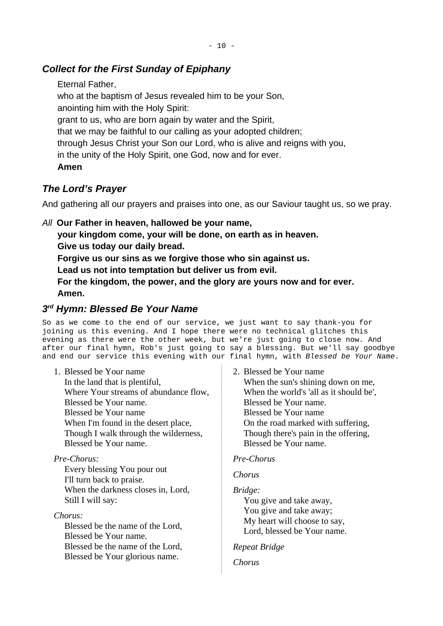# <span id="page-9-2"></span>*Collect for the First Sunday of Epiphany*

Eternal Father, who at the baptism of Jesus revealed him to be your Son, anointing him with the Holy Spirit: grant to us, who are born again by water and the Spirit, that we may be faithful to our calling as your adopted children; through Jesus Christ your Son our Lord, who is alive and reigns with you, in the unity of the Holy Spirit, one God, now and for ever. **Amen**

# <span id="page-9-1"></span>*The Lord's Prayer*

And gathering all our prayers and praises into one, as our Saviour taught us, so we pray.

*All* **Our Father in heaven, hallowed be your name,**

**your kingdom come, your will be done, on earth as in heaven.**

**Give us today our daily bread.**

**Forgive us our sins as we forgive those who sin against us.**

**Lead us not into temptation but deliver us from evil.**

**For the kingdom, the power, and the glory are yours now and for ever. Amen.**

# <span id="page-9-0"></span>*3 rd Hymn: Blessed Be Your Name*

So as we come to the end of our service, we just want to say thank-you for joining us this evening. And I hope there were no technical glitches this evening as there were the other week, but we're just going to close now. And after our final hymn, Rob's just going to say a blessing. But we'll say goodbye and end our service this evening with our final hymn, with *Blessed be Your Name*.

1. Blessed be Your name In the land that is plentiful, Where Your streams of abundance flow, Blessed be Your name. Blessed be Your name When I'm found in the desert place, Though I walk through the wilderness,

Blessed be Your name.

## *Pre-Chorus:*

Every blessing You pour out I'll turn back to praise. When the darkness closes in, Lord, Still I will say:

*Chorus:*

Blessed be the name of the Lord, Blessed be Your name. Blessed be the name of the Lord, Blessed be Your glorious name.

2. Blessed be Your name When the sun's shining down on me, When the world's 'all as it should be', Blessed be Your name. Blessed be Your name On the road marked with suffering, Though there's pain in the offering, Blessed be Your name.

## *Pre-Chorus*

## *Chorus*

*Bridge:* You give and take away, You give and take away; My heart will choose to say, Lord, blessed be Your name.

### *Repeat Bridge*

*Chorus*